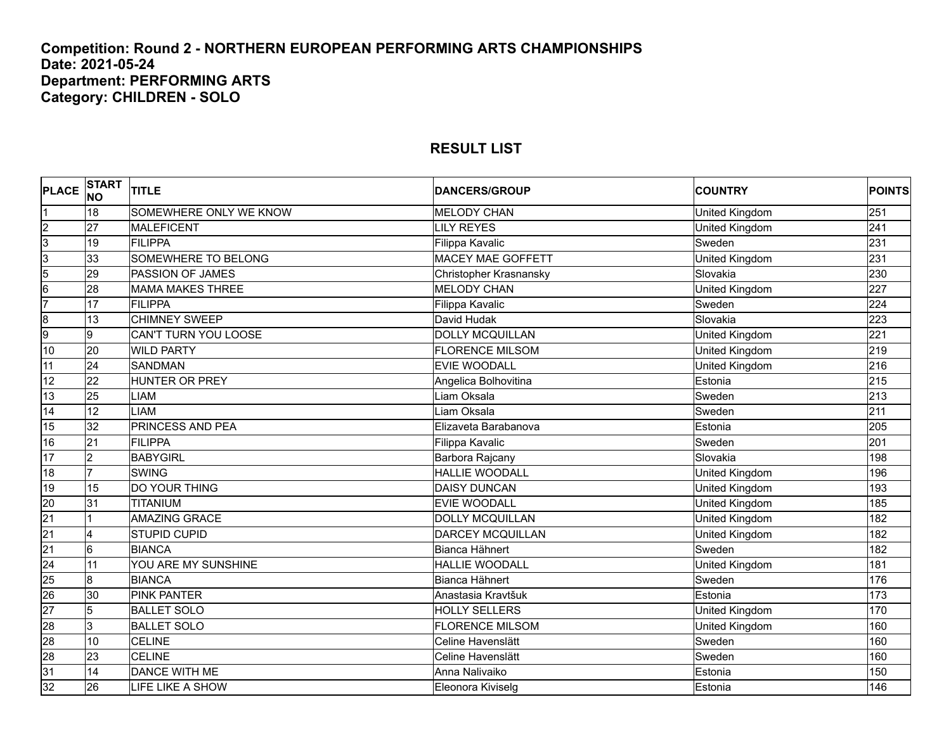# **Competition: Round 2 - NORTHERN EUROPEAN PERFORMING ARTS CHAMPIONSHIPS Date: 2021-05-24 Department: PERFORMING ARTS Category: CHILDREN - SOLO**

| <b>PLACE</b>            | START<br>NO     | <b>TITLE</b>            | <b>DANCERS/GROUP</b>     | <b>COUNTRY</b> | <b>POINTS</b> |
|-------------------------|-----------------|-------------------------|--------------------------|----------------|---------------|
| 1                       | 18              | SOMEWHERE ONLY WE KNOW  | <b>MELODY CHAN</b>       | United Kingdom | 251           |
|                         | 27              | <b>MALEFICENT</b>       | <b>LILY REYES</b>        | United Kingdom | 241           |
| $\frac{2}{3}$           | 19              | <b>FILIPPA</b>          | Filippa Kavalic          | Sweden         | 231           |
| $\overline{3}$          | 33              | SOMEWHERE TO BELONG     | <b>MACEY MAE GOFFETT</b> | United Kingdom | 231           |
| $\frac{5}{6}$           | 29              | PASSION OF JAMES        | Christopher Krasnansky   | Slovakia       | 230           |
|                         | 28              | <b>MAMA MAKES THREE</b> | <b>MELODY CHAN</b>       | United Kingdom | 227           |
| 7                       | 17              | <b>FILIPPA</b>          | Filippa Kavalic          | Sweden         | 224           |
| $\overline{\mathbf{8}}$ | 13              | <b>CHIMNEY SWEEP</b>    | David Hudak              | Slovakia       | 223           |
| 9                       | g               | CAN'T TURN YOU LOOSE    | <b>DOLLY MCQUILLAN</b>   | United Kingdom | 221           |
| 10                      | 20              | <b>WILD PARTY</b>       | <b>FLORENCE MILSOM</b>   | United Kingdom | 219           |
| $\overline{11}$         | 24              | SANDMAN                 | <b>EVIE WOODALL</b>      | United Kingdom | 216           |
| 12                      | $\overline{22}$ | <b>HUNTER OR PREY</b>   | Angelica Bolhovitina     | Estonia        | 215           |
| 13                      | 25              | LIAM                    | Liam Oksala              | Sweden         | 213           |
| 14                      | 12              | <b>LIAM</b>             | Liam Oksala              | Sweden         | 211           |
| 15                      | 32              | PRINCESS AND PEA        | Elizaveta Barabanova     | Estonia        | 205           |
| 16                      | $\overline{21}$ | <b>FILIPPA</b>          | Filippa Kavalic          | Sweden         | 201           |
| 17                      | $\overline{2}$  | <b>BABYGIRL</b>         | Barbora Rajcany          | Slovakia       | 198           |
| 18                      | 17              | <b>SWING</b>            | <b>HALLIE WOODALL</b>    | United Kingdom | 196           |
| 19                      | 15              | <b>DO YOUR THING</b>    | <b>DAISY DUNCAN</b>      | United Kingdom | 193           |
| $\frac{20}{21}$         | 31              | TITANIUM                | <b>EVIE WOODALL</b>      | United Kingdom | 185           |
|                         |                 | <b>AMAZING GRACE</b>    | <b>DOLLY MCQUILLAN</b>   | United Kingdom | 182           |
| $\overline{21}$         | 4               | <b>STUPID CUPID</b>     | <b>DARCEY MCQUILLAN</b>  | United Kingdom | 182           |
| $\overline{21}$         | $6\overline{6}$ | <b>BIANCA</b>           | Bianca Hähnert           | Sweden         | 182           |
| 24                      | $\overline{11}$ | YOU ARE MY SUNSHINE     | <b>HALLIE WOODALL</b>    | United Kingdom | 181           |
| $\frac{25}{26}$         | 8               | <b>BIANCA</b>           | Bianca Hähnert           | Sweden         | 176           |
|                         | 30              | <b>PINK PANTER</b>      | Anastasia Kravtšuk       | Estonia        | 173           |
| $\frac{27}{28}$         | 5               | <b>BALLET SOLO</b>      | <b>HOLLY SELLERS</b>     | United Kingdom | 170           |
|                         | 3               | <b>BALLET SOLO</b>      | <b>FLORENCE MILSOM</b>   | United Kingdom | 160           |
| 28                      | 10              | <b>CELINE</b>           | Celine Havenslätt        | Sweden         | 160           |
| $\frac{28}{31}$         | 23              | <b>CELINE</b>           | Celine Havenslätt        | Sweden         | 160           |
|                         | 14              | DANCE WITH ME           | Anna Nalivaiko           | Estonia        | 150           |
| 32                      | 26              | LIFE LIKE A SHOW        | Eleonora Kiviselg        | Estonia        | 146           |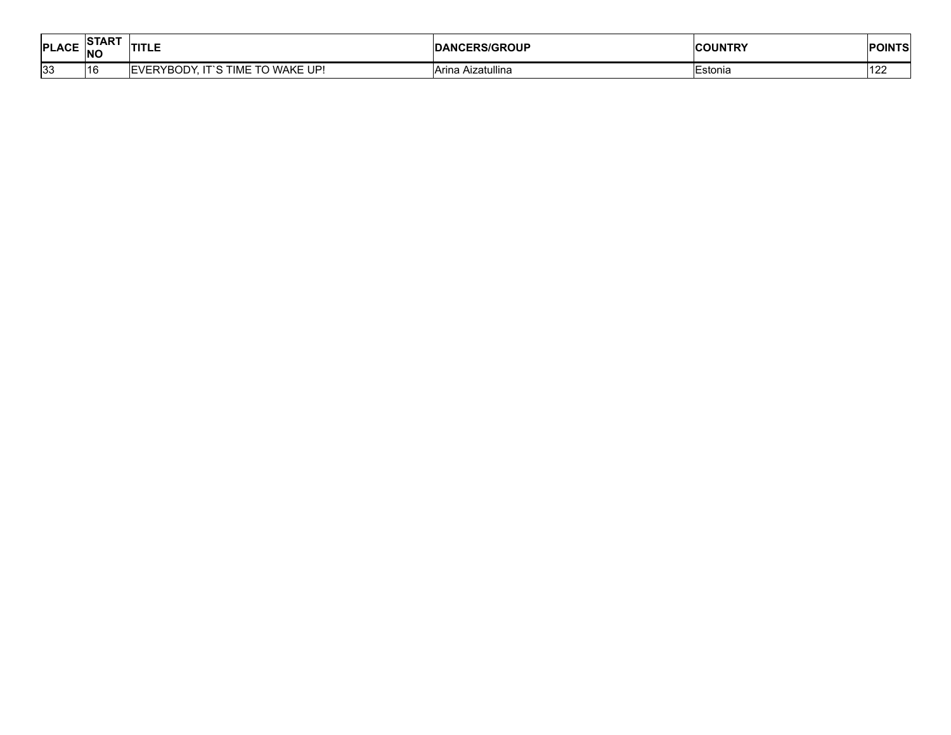| <b>PLACE</b> | <b>START</b><br><b>NC</b> | דומי<br>.                                                                         | <b>JCERS/GROUP</b><br>DANG | <b>ICOUNTDV</b><br>UN<br>IKI<br> | <b>POINTS</b> |
|--------------|---------------------------|-----------------------------------------------------------------------------------|----------------------------|----------------------------------|---------------|
| 33           | 116                       | wake l<br>$\overline{\phantom{a}}$<br><b>TIME</b><br>RYBODY<br>. UP<br>" ע<br>. . | <br>Aizatullina<br>— Arine | ∃stonia                          | 122           |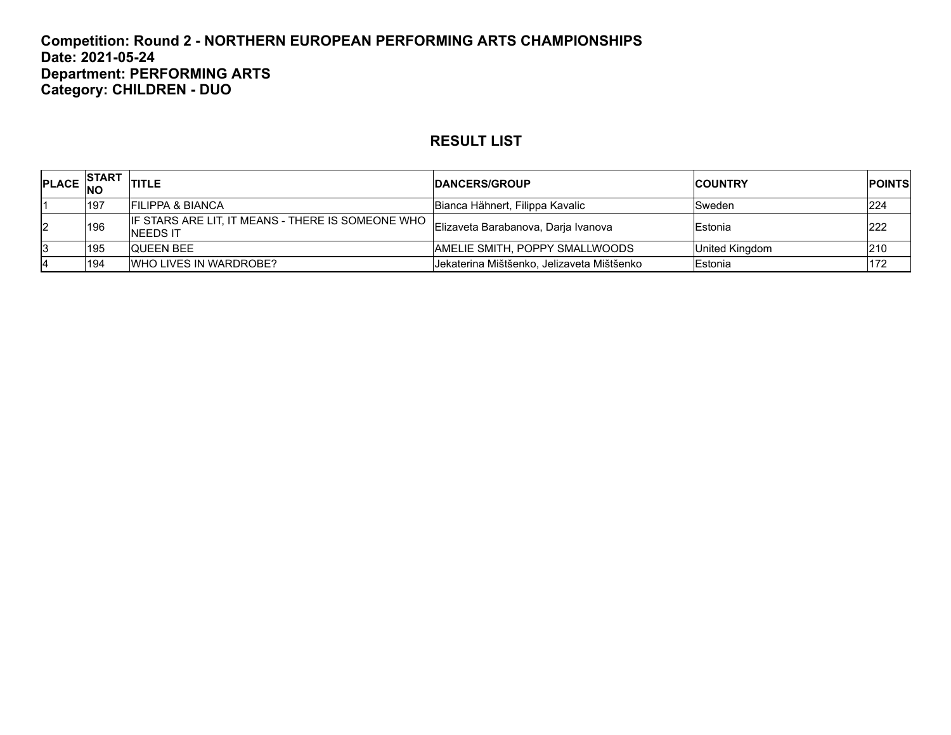#### **Competition: Round 2 - NORTHERN EUROPEAN PERFORMING ARTS CHAMPIONSHIPS Date: 2021-05-24 Department: PERFORMING ARTS Category: CHILDREN - DUO**

| PLACE NO | <b>ISTART</b> | <b>TITLE</b>                                                            | <b>IDANCERS/GROUP</b>                      | <b>ICOUNTRY</b> | <b>IPOINTS</b> |
|----------|---------------|-------------------------------------------------------------------------|--------------------------------------------|-----------------|----------------|
|          | 197           | <b>FILIPPA &amp; BIANCA</b>                                             | Bianca Hähnert, Filippa Kavalic            | Sweden          | 224            |
| 12       | 196           | IF STARS ARE LIT. IT MEANS - THERE IS SOMEONE WHO I.<br><b>NEEDS IT</b> | Elizaveta Barabanova, Darja Ivanova        | Estonia         | <b>222</b>     |
|          | 195           | <b>QUEEN BEE</b>                                                        | AMELIE SMITH, POPPY SMALLWOODS             | United Kingdom  | 210            |
|          | 194           | <b>IWHO LIVES IN WARDROBE?</b>                                          | Jekaterina Mištšenko, Jelizaveta Mištšenko | Estonia         | 172            |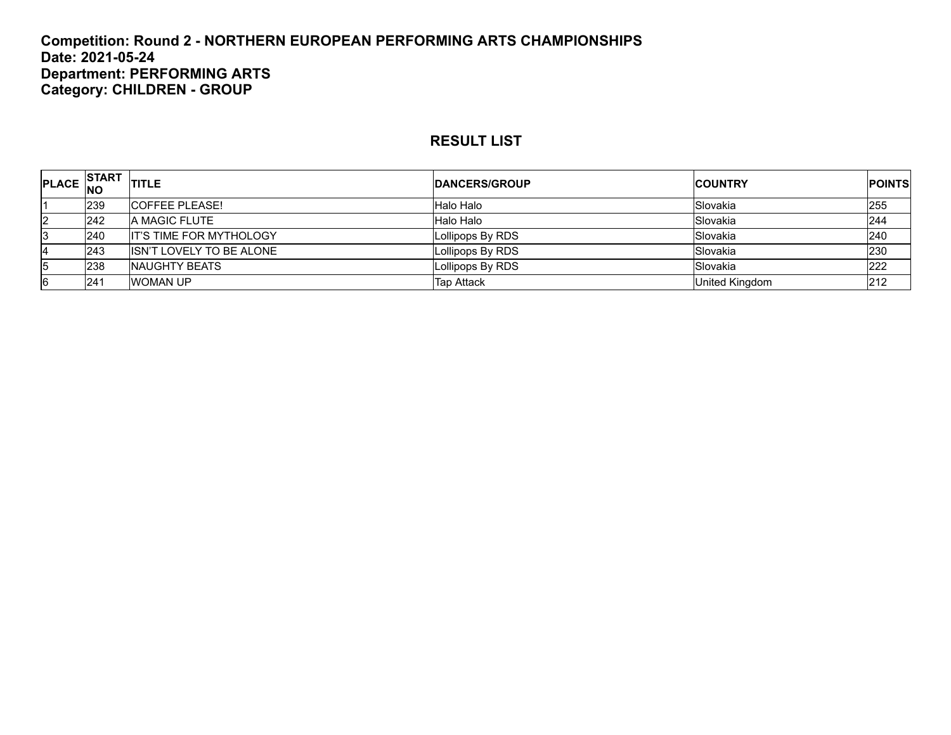#### **Competition: Round 2 - NORTHERN EUROPEAN PERFORMING ARTS CHAMPIONSHIPS Date: 2021-05-24 Department: PERFORMING ARTS Category: CHILDREN - GROUP**

| <b>PLACE</b> | <b>START</b><br>INO | <b>TITLE</b>                    | <b>IDANCERS/GROUP</b> | <b>ICOUNTRY</b> | <b>POINTS</b> |
|--------------|---------------------|---------------------------------|-----------------------|-----------------|---------------|
|              | 239                 | <b>ICOFFEE PLEASE!</b>          | Halo Halo             | Slovakia        | 255           |
| 2            | 242                 | <b>A MAGIC FLUTE</b>            | Halo Halo             | Slovakia        | 244           |
| 3            | 240                 | <b>IT'S TIME FOR MYTHOLOGY</b>  | Lollipops By RDS      | Slovakia        | 240           |
| 4            | 243                 | <b>ISN'T LOVELY TO BE ALONE</b> | Lollipops By RDS      | Slovakia        | 230           |
| 15           | 238                 | <b>INAUGHTY BEATS</b>           | Lollipops By RDS      | Slovakia        | 222           |
| 6            | l241                | <b>WOMAN UP</b>                 | <b>Tap Attack</b>     | United Kingdom  | 212           |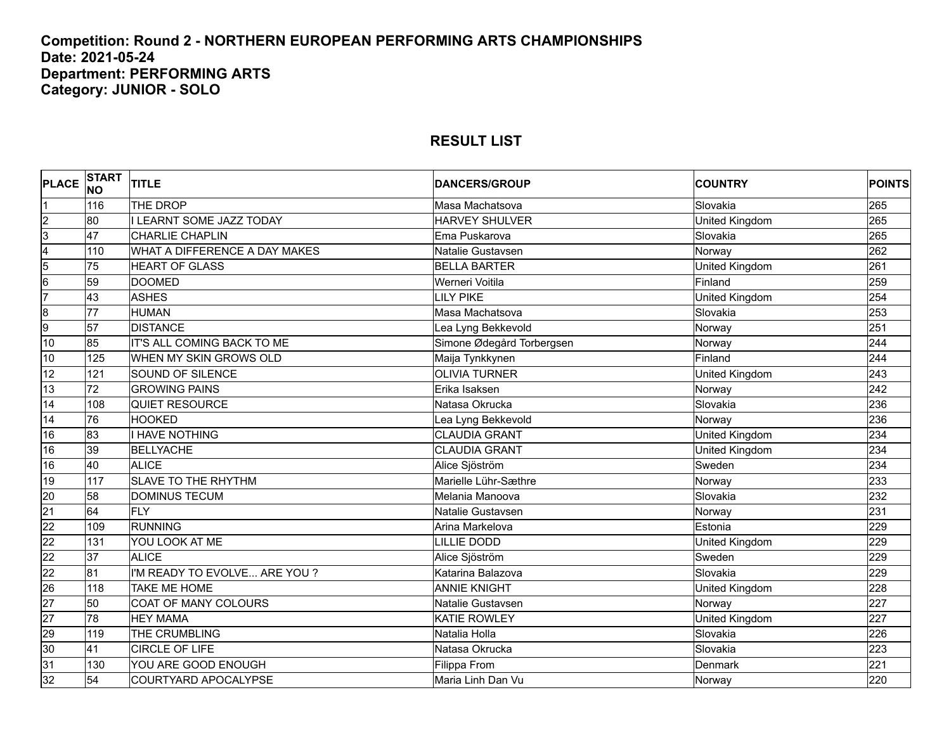#### **Competition: Round 2 - NORTHERN EUROPEAN PERFORMING ARTS CHAMPIONSHIPS Date: 2021-05-24 Department: PERFORMING ARTS Category: JUNIOR - SOLO**

| <b>PLACE</b>            | <b>START</b><br><b>NO</b> | <b>TITLE</b>                    | <b>DANCERS/GROUP</b>      | <b>COUNTRY</b>        | <b>POINTS</b> |
|-------------------------|---------------------------|---------------------------------|---------------------------|-----------------------|---------------|
| Ι1                      | 116                       | THE DROP                        | Masa Machatsova           | Slovakia              | 265           |
| $\overline{2}$          | 80                        | <b>I LEARNT SOME JAZZ TODAY</b> | HARVEY SHULVER            | United Kingdom        | 265           |
| $\overline{3}$          | 47                        | <b>CHARLIE CHAPLIN</b>          | Ema Puskarova             | Slovakia              | 265           |
| $\overline{4}$          | 110                       | WHAT A DIFFERENCE A DAY MAKES   | Natalie Gustavsen         | Norway                | 262           |
| $\overline{5}$          | 75                        | <b>HEART OF GLASS</b>           | <b>BELLA BARTER</b>       | <b>United Kingdom</b> | 261           |
| $6\overline{6}$         | 59                        | <b>DOOMED</b>                   | Werneri Voitila           | Finland               | 259           |
| 7                       | 43                        | <b>ASHES</b>                    | LILY PIKE                 | United Kingdom        | 254           |
| $\overline{\mathbf{8}}$ | $\overline{77}$           | <b>HUMAN</b>                    | Masa Machatsova           | Slovakia              | 253           |
| 9                       | 57                        | <b>DISTANCE</b>                 | Lea Lyng Bekkevold        | Norway                | 251           |
| 10                      | 85                        | IT'S ALL COMING BACK TO ME      | Simone Ødegård Torbergsen | Norway                | 244           |
| 10                      | 125                       | WHEN MY SKIN GROWS OLD          | Maija Tynkkynen           | Finland               | 244           |
| 12                      | 121                       | SOUND OF SILENCE                | <b>OLIVIA TURNER</b>      | United Kingdom        | 243           |
| 13                      | $\overline{72}$           | <b>GROWING PAINS</b>            | Erika Isaksen             | Norway                | 242           |
| 14                      | 108                       | <b>QUIET RESOURCE</b>           | Natasa Okrucka            | Slovakia              | 236           |
| 14                      | 76                        | <b>HOOKED</b>                   | Lea Lyng Bekkevold        | Norway                | 236           |
| 16                      | 83                        | I HAVE NOTHING                  | <b>CLAUDIA GRANT</b>      | United Kingdom        | 234           |
| 16                      | 39                        | <b>BELLYACHE</b>                | <b>CLAUDIA GRANT</b>      | United Kingdom        | 234           |
| 16                      | 40                        | <b>ALICE</b>                    | Alice Sjöström            | Sweden                | 234           |
| 19                      | 117                       | <b>SLAVE TO THE RHYTHM</b>      | Marielle Lühr-Sæthre      | Norway                | 233           |
| 20                      | 58                        | <b>DOMINUS TECUM</b>            | Melania Manoova           | Slovakia              | 232           |
| $\overline{21}$         | 64                        | <b>FLY</b>                      | Natalie Gustavsen         | Norway                | 231           |
| 22                      | 109                       | <b>RUNNING</b>                  | Arina Markelova           | Estonia               | 229           |
| 22                      | 131                       | YOU LOOK AT ME                  | LILLIE DODD               | United Kingdom        | 229           |
| $\overline{22}$         | 37                        | <b>ALICE</b>                    | Alice Sjöström            | Sweden                | 229           |
| $\overline{22}$         | $\overline{81}$           | I'M READY TO EVOLVE ARE YOU?    | Katarina Balazova         | Slovakia              | 229           |
| $\overline{26}$         | 118                       | TAKE ME HOME                    | <b>ANNIE KNIGHT</b>       | United Kingdom        | 228           |
| 27                      | 50                        | COAT OF MANY COLOURS            | Natalie Gustavsen         | Norway                | 227           |
| $\overline{27}$         | 78                        | <b>HEY MAMA</b>                 | <b>KATIE ROWLEY</b>       | United Kingdom        | 227           |
| $\overline{29}$         | 119                       | THE CRUMBLING                   | Natalia Holla             | Slovakia              | 226           |
| 30                      | $\overline{41}$           | <b>CIRCLE OF LIFE</b>           | Natasa Okrucka            | Slovakia              | 223           |
| 31                      | 130                       | YOU ARE GOOD ENOUGH             | Filippa From              | Denmark               | 221           |
| 32                      | 54                        | COURTYARD APOCALYPSE            | Maria Linh Dan Vu         | Norway                | 220           |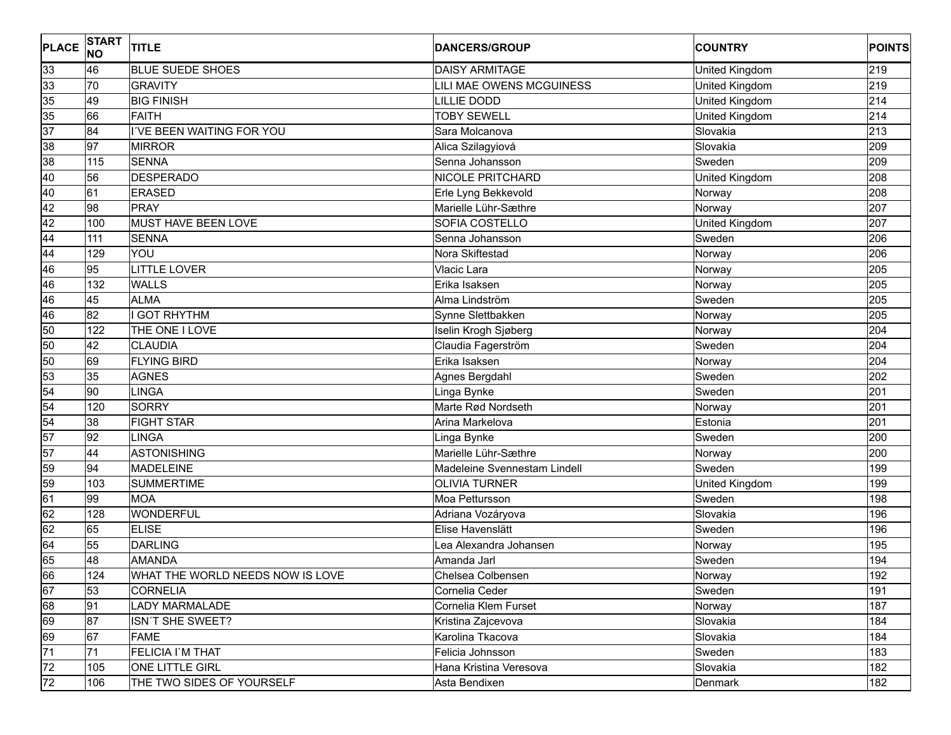| <b>PLACE</b>                                  | <b>START</b><br><b>NO</b> | <b>TITLE</b>                     | <b>DANCERS/GROUP</b>         | <b>COUNTRY</b> | <b>POINTS</b> |
|-----------------------------------------------|---------------------------|----------------------------------|------------------------------|----------------|---------------|
| 33                                            | 46                        | <b>BLUE SUEDE SHOES</b>          | <b>DAISY ARMITAGE</b>        | United Kingdom | 219           |
|                                               | 70                        | <b>GRAVITY</b>                   | LILI MAE OWENS MCGUINESS     | United Kingdom | 219           |
|                                               | 49                        | <b>BIG FINISH</b>                | <b>LILLIE DODD</b>           | United Kingdom | 214           |
| $\begin{array}{r} 33 \\ 35 \\ 35 \end{array}$ | 66                        | <b>FAITH</b>                     | <b>TOBY SEWELL</b>           | United Kingdom | 214           |
| 37                                            | 84                        | I'VE BEEN WAITING FOR YOU        | Sara Molcanova               | Slovakia       | 213           |
| 38                                            | 97                        | <b>MIRROR</b>                    | Alica Szilagyiová            | Slovakia       | 209           |
| 38                                            | 115                       | <b>SENNA</b>                     | Senna Johansson              | Sweden         | 209           |
| 40                                            | 56                        | <b>DESPERADO</b>                 | <b>NICOLE PRITCHARD</b>      | United Kingdom | 208           |
| 40                                            | 61                        | <b>ERASED</b>                    | Erle Lyng Bekkevold          | Norway         | 208           |
| 42                                            | 98                        | <b>PRAY</b>                      | Marielle Lühr-Sæthre         | Norway         | 207           |
| 42                                            | 100                       | MUST HAVE BEEN LOVE              | SOFIA COSTELLO               | United Kingdom | 207           |
| 44                                            | 111                       | <b>SENNA</b>                     | Senna Johansson              | Sweden         | 206           |
| 44                                            | 129                       | YOU                              | Nora Skiftestad              | Norway         | 206           |
| 46                                            | 95                        | <b>LITTLE LOVER</b>              | Vlacic Lara                  | Norway         | 205           |
| 46                                            | 132                       | <b>WALLS</b>                     | Erika Isaksen                | Norway         | 205           |
| 46                                            | 45                        | <b>ALMA</b>                      | Alma Lindström               | Sweden         | 205           |
| 46                                            | 82                        | <b>GOT RHYTHM</b>                | Synne Slettbakken            | Norway         | 205           |
| 50                                            | 122                       | THE ONE I LOVE                   | Iselin Krogh Sjøberg         | Norway         | 204           |
| 50                                            | 42                        | <b>CLAUDIA</b>                   | Claudia Fagerström           | Sweden         | 204           |
| 50                                            | 69                        | <b>FLYING BIRD</b>               | Erika Isaksen                | Norway         | 204           |
| 53                                            | 35                        | <b>AGNES</b>                     | Agnes Bergdahl               | Sweden         | 202           |
| 54                                            | 90                        | <b>LINGA</b>                     | Linga Bynke                  | Sweden         | 201           |
| 54                                            | 120                       | <b>SORRY</b>                     | Marte Rød Nordseth           | Norway         | 201           |
| $\overline{54}$                               | 38                        | <b>FIGHT STAR</b>                | Arina Markelova              | Estonia        | 201           |
| 57                                            | 92                        | LINGA                            | Linga Bynke                  | Sweden         | 200           |
| 57                                            | 44                        | <b>ASTONISHING</b>               | Marielle Lühr-Sæthre         | Norway         | 200           |
| 59                                            | 94                        | <b>MADELEINE</b>                 | Madeleine Svennestam Lindell | Sweden         | 199           |
| 59                                            | 103                       | <b>SUMMERTIME</b>                | <b>OLIVIA TURNER</b>         | United Kingdom | 199           |
| 61                                            | 99                        | <b>MOA</b>                       | Moa Pettursson               | Sweden         | 198           |
| 62                                            | 128                       | <b>WONDERFUL</b>                 | Adriana Vozáryova            | Slovakia       | 196           |
| 62                                            | 65                        | <b>ELISE</b>                     | Elise Havenslätt             | Sweden         | 196           |
| 64                                            | 55                        | <b>DARLING</b>                   | Lea Alexandra Johansen       | Norway         | 195           |
| 65                                            | 48                        | <b>AMANDA</b>                    | Amanda Jarl                  | Sweden         | 194           |
| 66                                            | 124                       | WHAT THE WORLD NEEDS NOW IS LOVE | Chelsea Colbensen            | Norway         | 192           |
| 67                                            | 53                        | <b>CORNELIA</b>                  | Cornelia Ceder               | Sweden         | 191           |
| 68                                            | 91                        | <b>LADY MARMALADE</b>            | Cornelia Klem Furset         | Norway         | 187           |
| 69                                            | 87                        | ISN'T SHE SWEET?                 | Kristina Zajcevova           | Slovakia       | 184           |
| 69                                            | 67                        | <b>FAME</b>                      | Karolina Tkacova             | Slovakia       | 184           |
| $\overline{71}$                               | 71                        | FELICIA I'M THAT                 | Felicia Johnsson             | Sweden         | 183           |
| 72                                            | 105                       | ONE LITTLE GIRL                  | Hana Kristina Veresova       | Slovakia       | 182           |
| 72                                            | 106                       | THE TWO SIDES OF YOURSELF        | Asta Bendixen                | <b>Denmark</b> | 182           |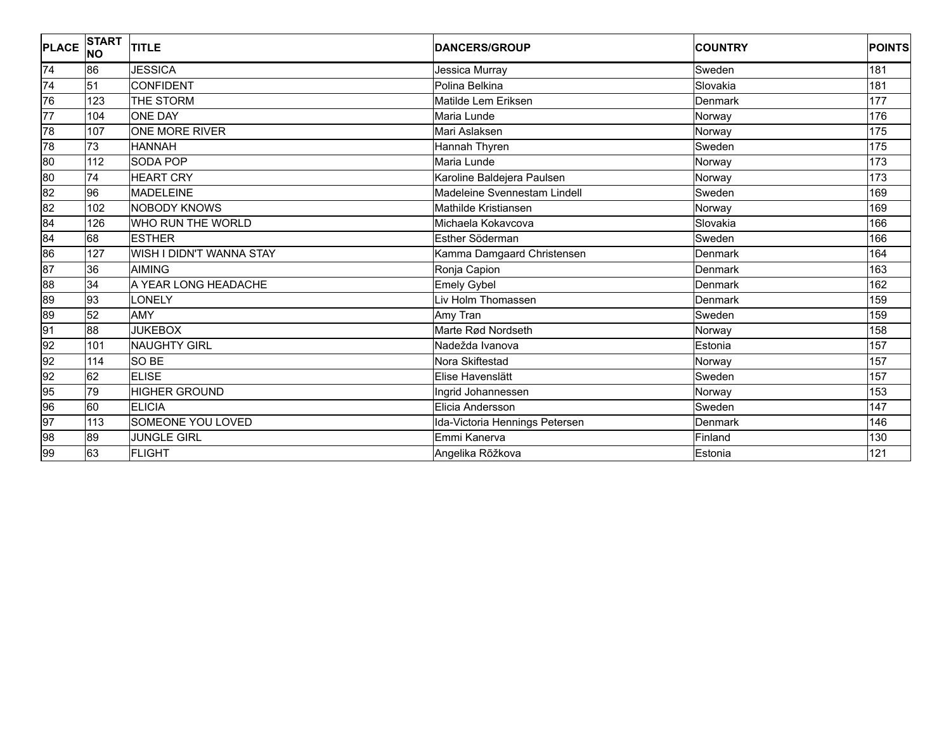| <b>PLACE</b>    | <b>START</b><br><b>NO</b> | <b>TITLE</b>             | <b>DANCERS/GROUP</b>           | <b>COUNTRY</b> | <b>POINTS</b>    |
|-----------------|---------------------------|--------------------------|--------------------------------|----------------|------------------|
| 74              | 86                        | <b>JESSICA</b>           | Jessica Murray                 | Sweden         | 181              |
| $\overline{74}$ | 51                        | <b>CONFIDENT</b>         | Polina Belkina                 | Slovakia       | 181              |
| 76              | 123                       | THE STORM                | Matilde Lem Eriksen            | Denmark        | 177              |
| $\overline{77}$ | 104                       | <b>ONE DAY</b>           | Maria Lunde                    | Norway         | 176              |
| 78              | 107                       | ONE MORE RIVER           | Mari Aslaksen                  | Norway         | $\overline{175}$ |
| 78              | 73                        | <b>HANNAH</b>            | Hannah Thyren                  | Sweden         | 175              |
| 80              | 112                       | SODA POP                 | Maria Lunde                    | Norway         | 173              |
| 80              | 74                        | <b>HEART CRY</b>         | Karoline Baldejera Paulsen     | Norway         | 173              |
| 82              | 96                        | <b>MADELEINE</b>         | Madeleine Svennestam Lindell   | Sweden         | 169              |
| 82              | 102                       | <b>NOBODY KNOWS</b>      | Mathilde Kristiansen           | Norway         | 169              |
| 84              | 126                       | WHO RUN THE WORLD        | Michaela Kokavcova             | Slovakia       | 166              |
| 84              | 68                        | <b>ESTHER</b>            | Esther Söderman                | Sweden         | 166              |
| 86              | 127                       | WISH I DIDN'T WANNA STAY | Kamma Damgaard Christensen     | <b>Denmark</b> | 164              |
| 87              | 36                        | <b>AIMING</b>            | Ronja Capion                   | Denmark        | 163              |
| 88              | 34                        | A YEAR LONG HEADACHE     | <b>Emely Gybel</b>             | Denmark        | 162              |
| 89              | 93                        | LONELY                   | Liv Holm Thomassen             | Denmark        | 159              |
| 89              | 52                        | <b>AMY</b>               | Amy Tran                       | Sweden         | 159              |
| 91              | $\overline{88}$           | <b>JUKEBOX</b>           | Marte Rød Nordseth             | Norway         | 158              |
| 92              | 101                       | <b>NAUGHTY GIRL</b>      | Nadežda Ivanova                | Estonia        | 157              |
| 92              | 114                       | SO BE                    | Nora Skiftestad                | Norway         | 157              |
| 92              | 62                        | <b>ELISE</b>             | Elise Havenslätt               | Sweden         | 157              |
| 95              | 79                        | <b>HIGHER GROUND</b>     | Ingrid Johannessen             | Norway         | 153              |
| 96              | 60                        | <b>ELICIA</b>            | Elicia Andersson               | Sweden         | 147              |
| 97              | 113                       | SOMEONE YOU LOVED        | Ida-Victoria Hennings Petersen | <b>Denmark</b> | 146              |
| 98              | 89                        | <b>JUNGLE GIRL</b>       | Emmi Kanerva                   | Finland        | 130              |
| 99              | 63                        | <b>FLIGHT</b>            | Angelika Rõžkova               | Estonia        | 121              |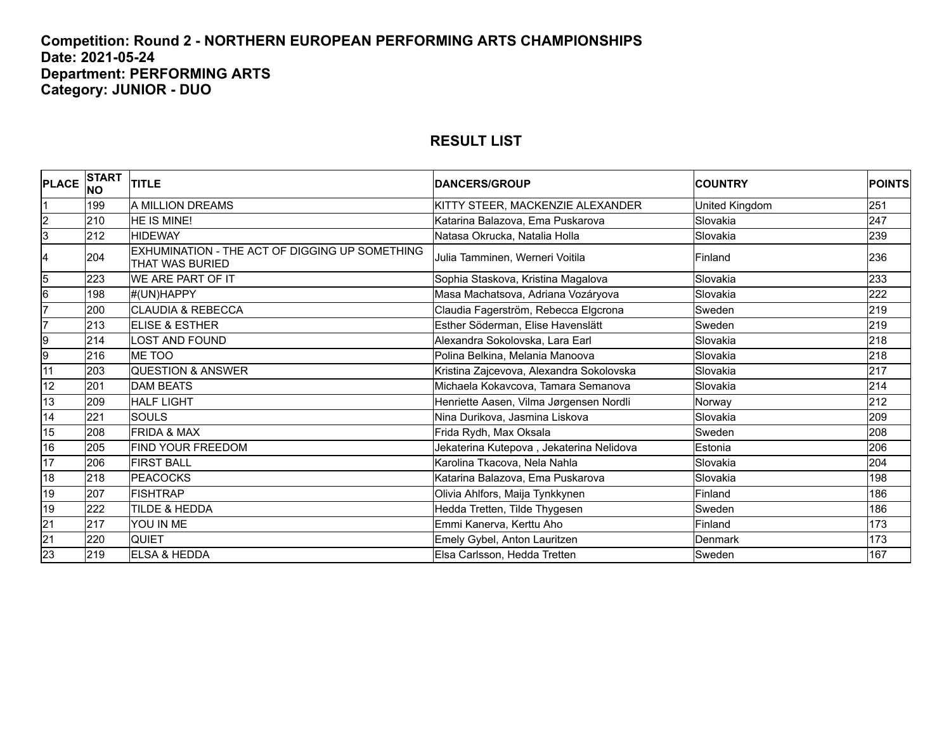#### **Competition: Round 2 - NORTHERN EUROPEAN PERFORMING ARTS CHAMPIONSHIPS Date: 2021-05-24 Department: PERFORMING ARTS Category: JUNIOR - DUO**

| <b>PLACE</b>    | <b>START</b><br>INO | <b>TITLE</b>                                                      | <b>DANCERS/GROUP</b>                     | <b>COUNTRY</b> | <b>POINTS</b> |
|-----------------|---------------------|-------------------------------------------------------------------|------------------------------------------|----------------|---------------|
|                 | 199                 | A MILLION DREAMS                                                  | KITTY STEER, MACKENZIE ALEXANDER         | United Kingdom | 251           |
| $\overline{2}$  | 210                 | <b>HE IS MINE!</b>                                                | Katarina Balazova, Ema Puskarova         | Slovakia       | 247           |
| 3               | 212                 | <b>HIDEWAY</b>                                                    | Natasa Okrucka, Natalia Holla            | Slovakia       | 239           |
| 4               | 204                 | EXHUMINATION - THE ACT OF DIGGING UP SOMETHING<br>THAT WAS BURIED | Julia Tamminen, Werneri Voitila          | Finland        | 236           |
| $\overline{5}$  | 223                 | WE ARE PART OF IT                                                 | Sophia Staskova, Kristina Magalova       | Slovakia       | 233           |
| $\overline{6}$  | 198                 | #(UN)HAPPY                                                        | Masa Machatsova, Adriana Vozáryova       | Slovakia       | 222           |
| 7               | 200                 | <b>CLAUDIA &amp; REBECCA</b>                                      | Claudia Fagerström, Rebecca Elgcrona     | Sweden         | 219           |
| 17              | 213                 | ELISE & ESTHER                                                    | Esther Söderman, Elise Havenslätt        | Sweden         | 219           |
| 9               | 214                 | LOST AND FOUND                                                    | Alexandra Sokolovska, Lara Earl          | Slovakia       | 218           |
| 9               | 216                 | ME TOO                                                            | Polina Belkina, Melania Manoova          | Slovakia       | 218           |
| 11              | 203                 | <b>QUESTION &amp; ANSWER</b>                                      | Kristina Zajcevova, Alexandra Sokolovska | Slovakia       | 217           |
| 12              | 201                 | <b>DAM BEATS</b>                                                  | Michaela Kokavcova, Tamara Semanova      | Slovakia       | 214           |
| 13              | 209                 | <b>HALF LIGHT</b>                                                 | Henriette Aasen, Vilma Jørgensen Nordli  | Norway         | 212           |
| 14              | 221                 | <b>SOULS</b>                                                      | Nina Durikova, Jasmina Liskova           | Slovakia       | 209           |
| 15              | 208                 | <b>FRIDA &amp; MAX</b>                                            | Frida Rydh, Max Oksala                   | Sweden         | 208           |
| 16              | 205                 | FIND YOUR FREEDOM                                                 | Jekaterina Kutepova, Jekaterina Nelidova | Estonia        | 206           |
| 17              | 206                 | <b>FIRST BALL</b>                                                 | Karolina Tkacova, Nela Nahla             | Slovakia       | 204           |
| 18              | 218                 | <b>PEACOCKS</b>                                                   | Katarina Balazova, Ema Puskarova         | Slovakia       | 198           |
| 19              | 207                 | <b>FISHTRAP</b>                                                   | Olivia Ahlfors, Maija Tynkkynen          | Finland        | 186           |
| 19              | 222                 | TILDE & HEDDA                                                     | Hedda Tretten, Tilde Thygesen            | Sweden         | 186           |
| $\overline{21}$ | 217                 | YOU IN ME                                                         | Emmi Kanerva, Kerttu Aho                 | Finland        | 173           |
| $\overline{21}$ | 220                 | <b>QUIET</b>                                                      | Emely Gybel, Anton Lauritzen             | Denmark        | 173           |
| $\overline{23}$ | 219                 | <b>ELSA &amp; HEDDA</b>                                           | Elsa Carlsson, Hedda Tretten             | Sweden         | 167           |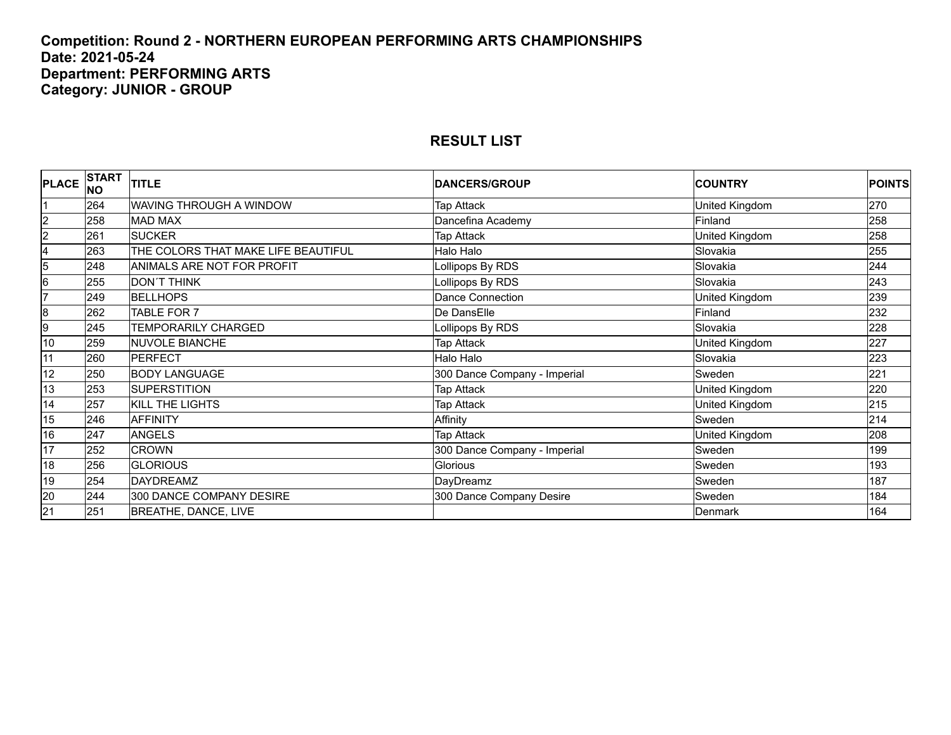#### **Competition: Round 2 - NORTHERN EUROPEAN PERFORMING ARTS CHAMPIONSHIPS Date: 2021-05-24 Department: PERFORMING ARTS Category: JUNIOR - GROUP**

| <b>PLACE</b>            | <b>START</b><br>INO | <b>TITLE</b>                        | <b>DANCERS/GROUP</b>         | <b>COUNTRY</b> | <b>POINTS</b> |
|-------------------------|---------------------|-------------------------------------|------------------------------|----------------|---------------|
|                         | 264                 | WAVING THROUGH A WINDOW             | Tap Attack                   | United Kingdom | 270           |
| $\overline{2}$          | 258                 | <b>MAD MAX</b>                      | Dancefina Academy            | Finland        | 258           |
| $\overline{2}$          | 261                 | <b>SUCKER</b>                       | Tap Attack                   | United Kingdom | 258           |
| $\overline{\mathbf{4}}$ | 263                 | THE COLORS THAT MAKE LIFE BEAUTIFUL | Halo Halo                    | Slovakia       | 255           |
| 5                       | 248                 | ANIMALS ARE NOT FOR PROFIT          | Lollipops By RDS             | Slovakia       | 244           |
| 6                       | 255                 | <b>DON'T THINK</b>                  | Lollipops By RDS             | Slovakia       | 243           |
| 17                      | 249                 | <b>BELLHOPS</b>                     | Dance Connection             | United Kingdom | 239           |
| 8                       | 262                 | TABLE FOR 7                         | De DansElle                  | Finland        | 232           |
| 9                       | 245                 | <b>TEMPORARILY CHARGED</b>          | Lollipops By RDS             | Slovakia       | 228           |
| 10                      | 259                 | <b>NUVOLE BIANCHE</b>               | Tap Attack                   | United Kingdom | 227           |
| 11                      | 260                 | <b>PERFECT</b>                      | Halo Halo                    | Slovakia       | 223           |
| 12                      | 250                 | <b>BODY LANGUAGE</b>                | 300 Dance Company - Imperial | Sweden         | 221           |
| 13                      | 253                 | <b>SUPERSTITION</b>                 | Tap Attack                   | United Kingdom | 220           |
| 14                      | 257                 | KILL THE LIGHTS                     | <b>Tap Attack</b>            | United Kingdom | 215           |
| 15                      | 246                 | <b>AFFINITY</b>                     | Affinity                     | Sweden         | 214           |
| 16                      | 247                 | <b>ANGELS</b>                       | <b>Tap Attack</b>            | United Kingdom | 208           |
| 17                      | 252                 | <b>CROWN</b>                        | 300 Dance Company - Imperial | Sweden         | 199           |
| 18                      | 256                 | <b>GLORIOUS</b>                     | Glorious                     | Sweden         | 193           |
| 19                      | 254                 | <b>DAYDREAMZ</b>                    | DayDreamz                    | Sweden         | 187           |
| 20                      | 244                 | 300 DANCE COMPANY DESIRE            | 300 Dance Company Desire     | Sweden         | 184           |
| $\overline{21}$         | 251                 | BREATHE, DANCE, LIVE                |                              | Denmark        | 164           |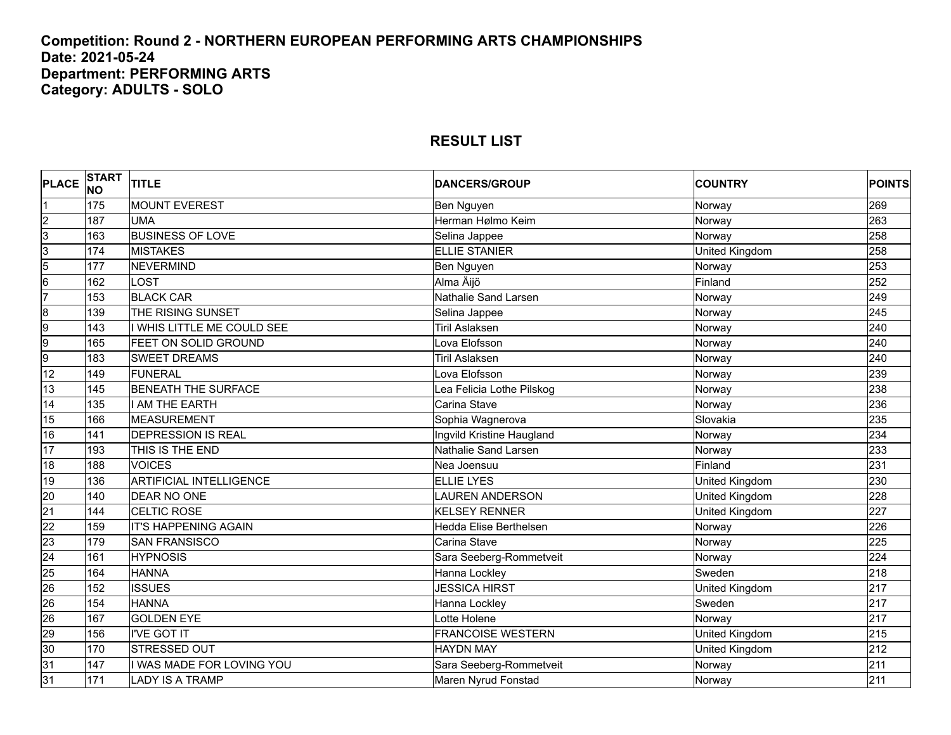#### **Competition: Round 2 - NORTHERN EUROPEAN PERFORMING ARTS CHAMPIONSHIPS Date: 2021-05-24 Department: PERFORMING ARTS Category: ADULTS - SOLO**

| <b>PLACE</b>    | <b>START</b><br><b>NO</b> | <b>TITLE</b>                   | <b>DANCERS/GROUP</b>      | <b>COUNTRY</b> | <b>POINTS</b> |
|-----------------|---------------------------|--------------------------------|---------------------------|----------------|---------------|
| Ι1              | 175                       | <b>MOUNT EVEREST</b>           | Ben Nguyen                | Norway         | 269           |
| $\overline{2}$  | 187                       | <b>UMA</b>                     | Herman Hølmo Keim         | Norway         | 263           |
| 3               | 163                       | <b>BUSINESS OF LOVE</b>        | Selina Jappee             | Norway         | 258           |
| $\overline{3}$  | 174                       | <b>MISTAKES</b>                | <b>ELLIE STANIER</b>      | United Kingdom | 258           |
| $\overline{5}$  | 177                       | <b>NEVERMIND</b>               | Ben Nguyen                | Norway         | 253           |
| $6\overline{6}$ | 162                       | LOST                           | Alma Äijö                 | Finland        | 252           |
| 7               | 153                       | <b>BLACK CAR</b>               | Nathalie Sand Larsen      | Norway         | 249           |
| $\overline{8}$  | 139                       | THE RISING SUNSET              | Selina Jappee             | Norway         | 245           |
| 9               | 143                       | I WHIS LITTLE ME COULD SEE     | <b>Tiril Aslaksen</b>     | Norway         | 240           |
| 9               | 165                       | FEET ON SOLID GROUND           | Lova Elofsson             | Norway         | 240           |
| 9               | 183                       | <b>SWEET DREAMS</b>            | <b>Tiril Aslaksen</b>     | Norway         | 240           |
| 12              | 149                       | <b>FUNERAL</b>                 | Lova Elofsson             | Norway         | 239           |
| 13              | 145                       | <b>BENEATH THE SURFACE</b>     | Lea Felicia Lothe Pilskog | Norway         | 238           |
| 14              | 135                       | I AM THE EARTH                 | Carina Stave              | Norway         | 236           |
| 15              | 166                       | <b>MEASUREMENT</b>             | Sophia Wagnerova          | Slovakia       | 235           |
| 16              | 141                       | <b>DEPRESSION IS REAL</b>      | Ingvild Kristine Haugland | Norway         | 234           |
| 17              | 193                       | THIS IS THE END                | Nathalie Sand Larsen      | Norway         | 233           |
| 18              | 188                       | <b>VOICES</b>                  | Nea Joensuu               | Finland        | 231           |
| 19              | 136                       | <b>ARTIFICIAL INTELLIGENCE</b> | <b>ELLIE LYES</b>         | United Kingdom | 230           |
| $\overline{20}$ | 140                       | <b>DEAR NO ONE</b>             | LAUREN ANDERSON           | United Kingdom | 228           |
| $\overline{21}$ | 144                       | CELTIC ROSE                    | <b>KELSEY RENNER</b>      | United Kingdom | 227           |
| $\overline{22}$ | 159                       | <b>IT'S HAPPENING AGAIN</b>    | Hedda Elise Berthelsen    | Norway         | 226           |
| 23              | 179                       | <b>SAN FRANSISCO</b>           | Carina Stave              | Norway         | 225           |
| $\overline{24}$ | 161                       | <b>HYPNOSIS</b>                | Sara Seeberg-Rommetveit   | Norway         | 224           |
| 25              | 164                       | <b>HANNA</b>                   | Hanna Lockley             | Sweden         | 218           |
| 26              | 152                       | <b>ISSUES</b>                  | <b>JESSICA HIRST</b>      | United Kingdom | 217           |
| $\overline{26}$ | 154                       | <b>HANNA</b>                   | Hanna Lockley             | Sweden         | 217           |
| 26              | 167                       | <b>GOLDEN EYE</b>              | Lotte Holene              | Norway         | 217           |
| 29              | 156                       | <b>I'VE GOT IT</b>             | <b>FRANCOISE WESTERN</b>  | United Kingdom | 215           |
| 30              | 170                       | STRESSED OUT                   | <b>HAYDN MAY</b>          | United Kingdom | 212           |
| 31              | 147                       | I WAS MADE FOR LOVING YOU      | Sara Seeberg-Rommetveit   | Norway         | 211           |
| 31              | 171                       | <b>LADY IS A TRAMP</b>         | Maren Nyrud Fonstad       | Norway         | 211           |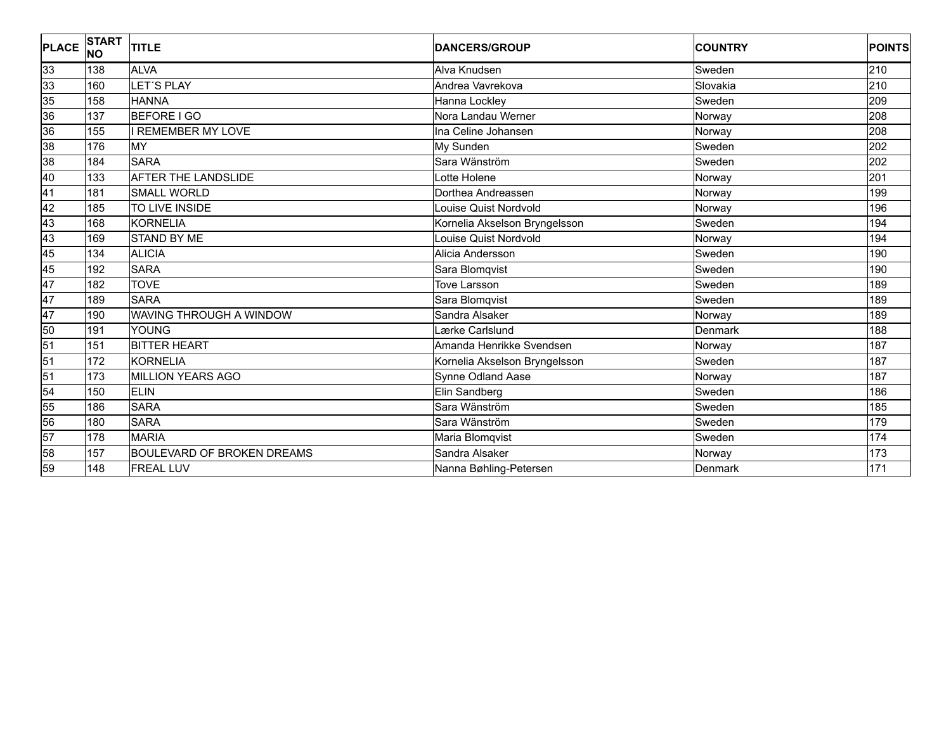| <b>PLACE</b>    | <b>START</b><br><b>NO</b> | <b>TITLE</b>                      | <b>DANCERS/GROUP</b>          | <b>COUNTRY</b> | <b>POINTS</b>    |
|-----------------|---------------------------|-----------------------------------|-------------------------------|----------------|------------------|
| 33              | 138                       | <b>ALVA</b>                       | Alva Knudsen                  | Sweden         | 210              |
| 33              | 160                       | LET'S PLAY                        | Andrea Vavrekova              | Slovakia       | 210              |
| 35              | 158                       | <b>HANNA</b>                      | Hanna Lockley                 | Sweden         | 209              |
| 36              | 137                       | <b>BEFORE I GO</b>                | Nora Landau Werner            | Norway         | 208              |
| 36              | 155                       | <b>I REMEMBER MY LOVE</b>         | Ina Celine Johansen           | Norway         | 208              |
| 38              | 176                       | MY                                | My Sunden                     | Sweden         | 202              |
| 38              | 184                       | <b>SARA</b>                       | Sara Wänström                 | Sweden         | 202              |
| $\overline{40}$ | 133                       | <b>AFTER THE LANDSLIDE</b>        | otte Holene                   | Norway         | 201              |
| 41              | 181                       | <b>SMALL WORLD</b>                | Dorthea Andreassen            | Norway         | 199              |
| 42              | 185                       | TO LIVE INSIDE                    | Louise Quist Nordvold         | Norway         | 196              |
| 43              | 168                       | <b>KORNELIA</b>                   | Kornelia Akselson Bryngelsson | Sweden         | 194              |
| 43              | 169                       | <b>STAND BY ME</b>                | Louise Quist Nordvold         | Norway         | 194              |
| 45              | 134                       | <b>ALICIA</b>                     | Alicia Andersson              | Sweden         | 190              |
| 45              | 192                       | <b>SARA</b>                       | Sara Blomqvist                | Sweden         | 190              |
| 47              | 182                       | <b>TOVE</b>                       | <b>Tove Larsson</b>           | Sweden         | 189              |
| 47              | 189                       | <b>SARA</b>                       | Sara Blomqvist                | Sweden         | 189              |
| 47              | 190                       | WAVING THROUGH A WINDOW           | Sandra Alsaker                | Norway         | 189              |
| 50              | 191                       | <b>YOUNG</b>                      | Lærke Carlslund               | Denmark        | 188              |
| 51              | 151                       | <b>BITTER HEART</b>               | Amanda Henrikke Svendsen      | Norway         | 187              |
| 51              | 172                       | <b>KORNELIA</b>                   | Kornelia Akselson Bryngelsson | Sweden         | 187              |
| 51              | 173                       | <b>MILLION YEARS AGO</b>          | Synne Odland Aase             | Norway         | 187              |
| 54              | 150                       | <b>ELIN</b>                       | Elin Sandberg                 | Sweden         | 186              |
| 55              | 186                       | <b>SARA</b>                       | Sara Wänström                 | Sweden         | 185              |
| 56              | 180                       | <b>SARA</b>                       | Sara Wänström                 | Sweden         | 179              |
| 57              | 178                       | <b>MARIA</b>                      | Maria Blomqvist               | Sweden         | 174              |
| 58              | 157                       | <b>BOULEVARD OF BROKEN DREAMS</b> | Sandra Alsaker                | Norway         | 173              |
| 59              | 148                       | <b>FREAL LUV</b>                  | Nanna Bøhling-Petersen        | Denmark        | $\overline{171}$ |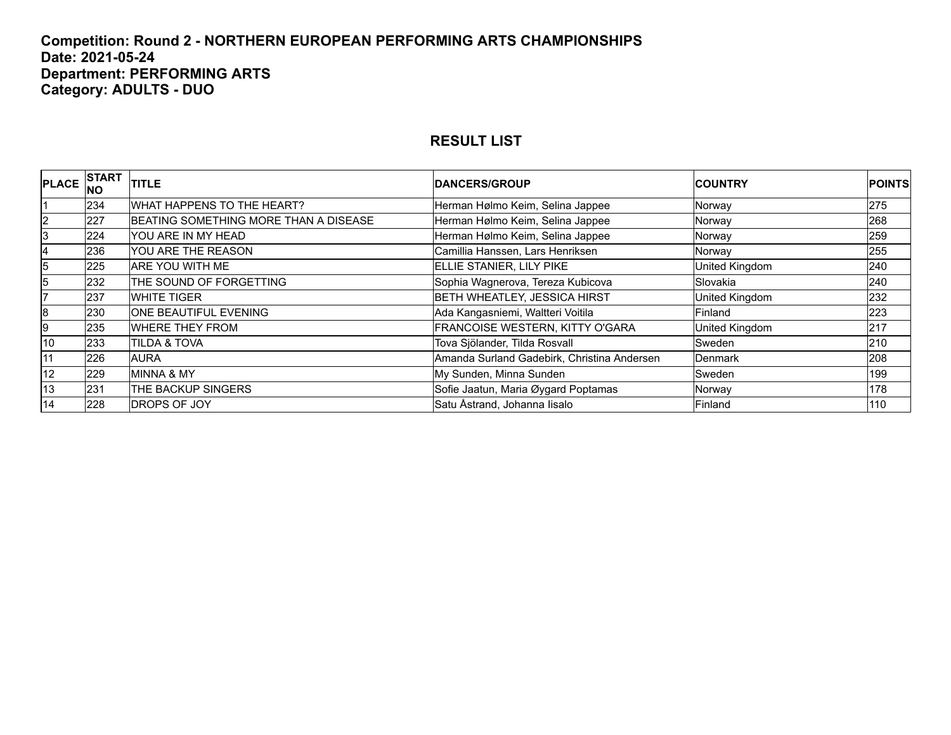#### **Competition: Round 2 - NORTHERN EUROPEAN PERFORMING ARTS CHAMPIONSHIPS Date: 2021-05-24 Department: PERFORMING ARTS Category: ADULTS - DUO**

| <b>PLACE</b>    | <b>INO</b> | $\epsilon$ START $\vert_{\text{TITLE}}$ | <b>IDANCERS/GROUP</b>                       | <b>COUNTRY</b> | <b>POINTS</b> |
|-----------------|------------|-----------------------------------------|---------------------------------------------|----------------|---------------|
|                 | 234        | WHAT HAPPENS TO THE HEART?              | Herman Hølmo Keim, Selina Jappee            | Norway         | 275           |
| 2               | 227        | BEATING SOMETHING MORE THAN A DISEASE   | Herman Hølmo Keim, Selina Jappee            | Norway         | 268           |
| 3               | 224        | IYOU ARE IN MY HEAD                     | Herman Hølmo Keim, Selina Jappee            | Norway         | 259           |
| 4               | 236        | YOU ARE THE REASON                      | Camillia Hanssen, Lars Henriksen            | Norway         | 255           |
| 5               | 225        | <b>ARE YOU WITH ME</b>                  | ELLIE STANIER, LILY PIKE                    | United Kingdom | 240           |
| 5               | 232        | THE SOUND OF FORGETTING                 | Sophia Wagnerova, Tereza Kubicova           | Slovakia       | 240           |
|                 | 237        | <b>WHITE TIGER</b>                      | <b>BETH WHEATLEY, JESSICA HIRST</b>         | United Kingdom | 232           |
| 8               | 230        | <b>ONE BEAUTIFUL EVENING</b>            | Ada Kangasniemi, Waltteri Voitila           | Finland        | 223           |
| l9              | 235        | <b>WHERE THEY FROM</b>                  | FRANCOISE WESTERN, KITTY O'GARA             | United Kingdom | 217           |
| 10              | 233        | <b>TILDA &amp; TOVA</b>                 | Tova Sjölander, Tilda Rosvall               | Sweden         | 210           |
| 11              | 226        | AURA                                    | Amanda Surland Gadebirk, Christina Andersen | <b>Denmark</b> | 208           |
| 12              | 229        | <b>MINNA &amp; MY</b>                   | My Sunden, Minna Sunden                     | Sweden         | 199           |
| 13              | 231        | THE BACKUP SINGERS                      | Sofie Jaatun, Maria Øygard Poptamas         | Norway         | 178           |
| $\overline{14}$ | 228        | <b>DROPS OF JOY</b>                     | Satu Åstrand, Johanna lisalo                | Finland        | 110           |